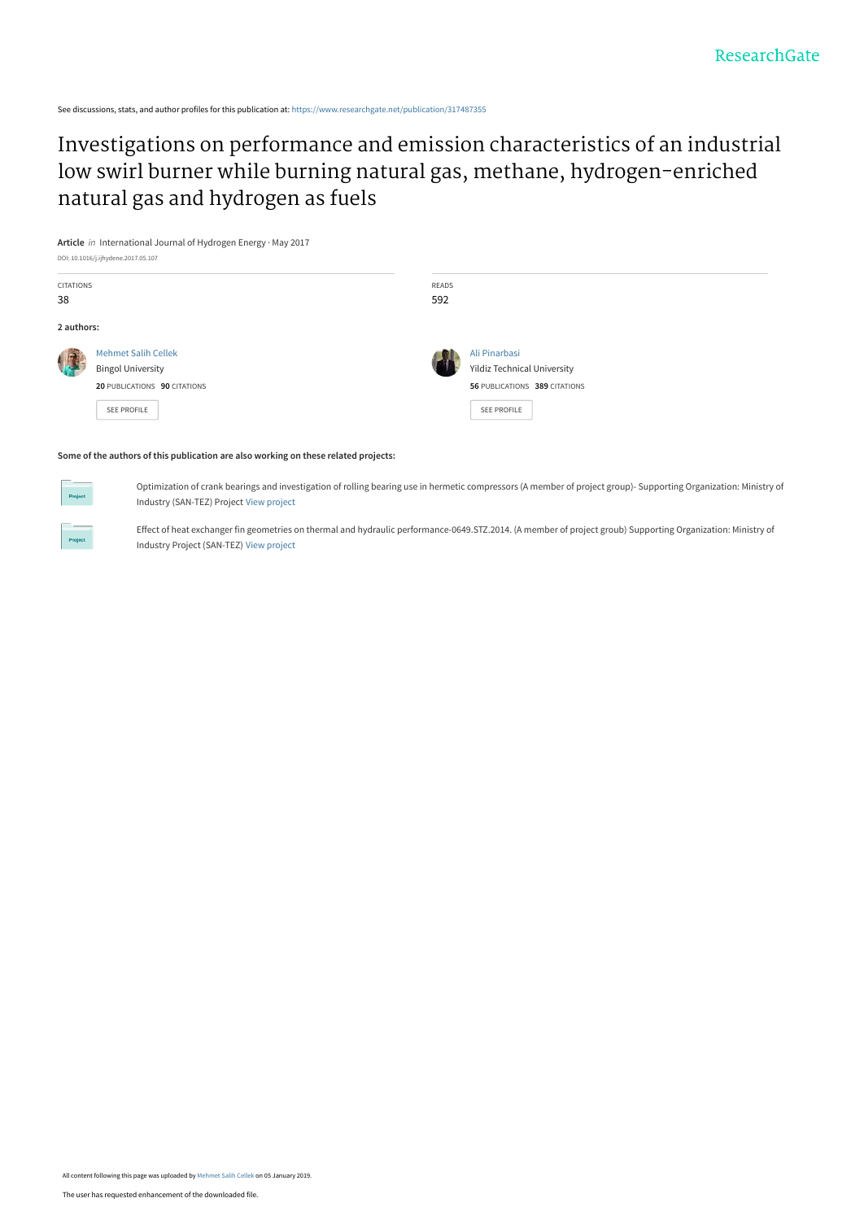See discussions, stats, and author profiles for this publication at: [https://www.researchgate.net/publication/317487355](https://www.researchgate.net/publication/317487355_Investigations_on_performance_and_emission_characteristics_of_an_industrial_low_swirl_burner_while_burning_natural_gas_methane_hydrogen-enriched_natural_gas_and_hydrogen_as_fuels?enrichId=rgreq-01793f226f6439d34fe31132d9a7df05-XXX&enrichSource=Y292ZXJQYWdlOzMxNzQ4NzM1NTtBUzo3MTE2ODU1MzkxMTkxMDRAMTU0NjY5MDQ2MzQxMA%3D%3D&el=1_x_2&_esc=publicationCoverPdf)

[Investigations on performance and emission characteristics of an industrial](https://www.researchgate.net/publication/317487355_Investigations_on_performance_and_emission_characteristics_of_an_industrial_low_swirl_burner_while_burning_natural_gas_methane_hydrogen-enriched_natural_gas_and_hydrogen_as_fuels?enrichId=rgreq-01793f226f6439d34fe31132d9a7df05-XXX&enrichSource=Y292ZXJQYWdlOzMxNzQ4NzM1NTtBUzo3MTE2ODU1MzkxMTkxMDRAMTU0NjY5MDQ2MzQxMA%3D%3D&el=1_x_3&_esc=publicationCoverPdf) low swirl burner while burning natural gas, methane, hydrogen-enriched natural gas and hydrogen as fuels

**Article** in International Journal of Hydrogen Energy · May 2017 DOI: 10.1016/j.ijhydene.2017.05.107 CITATIONS 38 READS 592 **2 authors:** [Mehmet Salih Cellek](https://www.researchgate.net/profile/Mehmet-Cellek-2?enrichId=rgreq-01793f226f6439d34fe31132d9a7df05-XXX&enrichSource=Y292ZXJQYWdlOzMxNzQ4NzM1NTtBUzo3MTE2ODU1MzkxMTkxMDRAMTU0NjY5MDQ2MzQxMA%3D%3D&el=1_x_5&_esc=publicationCoverPdf) Bingol University **20** PUBLICATIONS **90** CITATIONS [SEE PROFILE](https://www.researchgate.net/profile/Mehmet-Cellek-2?enrichId=rgreq-01793f226f6439d34fe31132d9a7df05-XXX&enrichSource=Y292ZXJQYWdlOzMxNzQ4NzM1NTtBUzo3MTE2ODU1MzkxMTkxMDRAMTU0NjY5MDQ2MzQxMA%3D%3D&el=1_x_7&_esc=publicationCoverPdf) [Ali Pinarbasi](https://www.researchgate.net/profile/Ali-Pinarbasi?enrichId=rgreq-01793f226f6439d34fe31132d9a7df05-XXX&enrichSource=Y292ZXJQYWdlOzMxNzQ4NzM1NTtBUzo3MTE2ODU1MzkxMTkxMDRAMTU0NjY5MDQ2MzQxMA%3D%3D&el=1_x_5&_esc=publicationCoverPdf) [Yildiz Technical University](https://www.researchgate.net/institution/Yildiz_Technical_University?enrichId=rgreq-01793f226f6439d34fe31132d9a7df05-XXX&enrichSource=Y292ZXJQYWdlOzMxNzQ4NzM1NTtBUzo3MTE2ODU1MzkxMTkxMDRAMTU0NjY5MDQ2MzQxMA%3D%3D&el=1_x_6&_esc=publicationCoverPdf) **56** PUBLICATIONS **389** CITATIONS [SEE PROFILE](https://www.researchgate.net/profile/Ali-Pinarbasi?enrichId=rgreq-01793f226f6439d34fe31132d9a7df05-XXX&enrichSource=Y292ZXJQYWdlOzMxNzQ4NzM1NTtBUzo3MTE2ODU1MzkxMTkxMDRAMTU0NjY5MDQ2MzQxMA%3D%3D&el=1_x_7&_esc=publicationCoverPdf)

#### **Some of the authors of this publication are also working on these related projects:**



Optimization of crank bearings and investigation of rolling bearing use in hermetic compressors (A member of project group)- Supporting Organization: Ministry of Industry (SAN-TEZ) Project [View project](https://www.researchgate.net/project/Optimization-of-crank-bearings-and-investigation-of-rolling-bearing-use-in-hermetic-compressors-A-member-of-project-group-Supporting-Organization-Ministry-of-Industry-SAN-TEZ-Project?enrichId=rgreq-01793f226f6439d34fe31132d9a7df05-XXX&enrichSource=Y292ZXJQYWdlOzMxNzQ4NzM1NTtBUzo3MTE2ODU1MzkxMTkxMDRAMTU0NjY5MDQ2MzQxMA%3D%3D&el=1_x_9&_esc=publicationCoverPdf)



Effect of heat exchanger fin geometries on thermal and hydraulic performance-0649.STZ.2014. (A member of project groub) Supporting Organization: Ministry of Industry Project (SAN-TEZ) [View project](https://www.researchgate.net/project/Effect-of-heat-exchanger-fin-geometries-on-thermal-and-hydraulic-performance-0649STZ2014-A-member-of-project-groub-Supporting-Organization-Ministry-of-Industry-Project-SAN-TEZ?enrichId=rgreq-01793f226f6439d34fe31132d9a7df05-XXX&enrichSource=Y292ZXJQYWdlOzMxNzQ4NzM1NTtBUzo3MTE2ODU1MzkxMTkxMDRAMTU0NjY5MDQ2MzQxMA%3D%3D&el=1_x_9&_esc=publicationCoverPdf)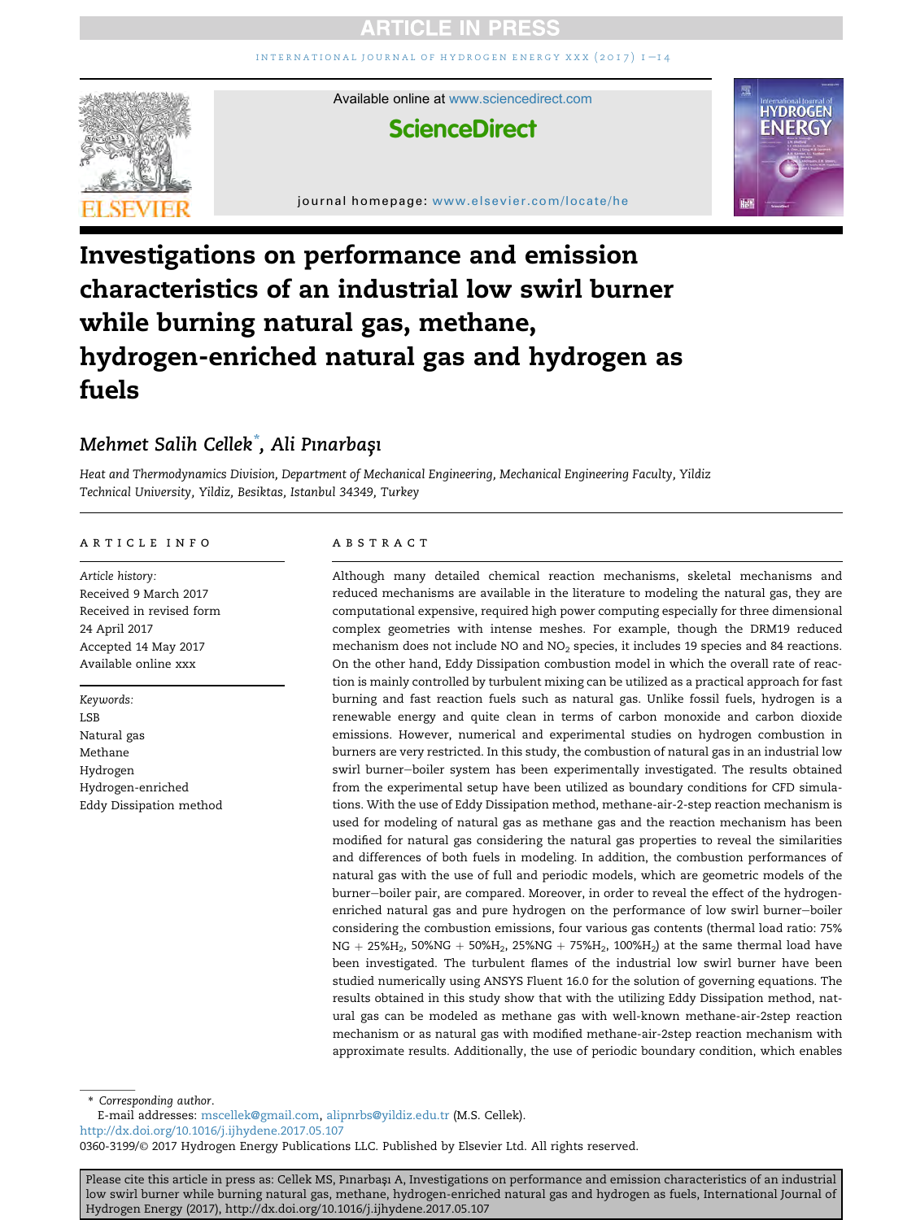INTERNATIONAL JOURNAL OF HYDROGEN ENERGY XXX  $(2017)$  I-14



Available online at [www.sciencedirect.com](www.sciencedirect.com/science/journal/03603199)

# **ScienceDirect**

journal homepage: <www.elsevier.com/locate/he>



# Investigations on performance and emission characteristics of an industrial low swirl burner while burning natural gas, methane, hydrogen-enriched natural gas and hydrogen as fuels

# Mehmet Salih Cellek\*, Ali Pınarbaşı

Heat and Thermodynamics Division, Department of Mechanical Engineering, Mechanical Engineering Faculty, Yildiz Technical University, Yildiz, Besiktas, Istanbul 34349, Turkey

# article info

Article history: Received 9 March 2017 Received in revised form 24 April 2017 Accepted 14 May 2017 Available online xxx

Keywords: LSB Natural gas Methane Hydrogen Hydrogen-enriched Eddy Dissipation method

#### ABSTRACT

Although many detailed chemical reaction mechanisms, skeletal mechanisms and reduced mechanisms are available in the literature to modeling the natural gas, they are computational expensive, required high power computing especially for three dimensional complex geometries with intense meshes. For example, though the DRM19 reduced mechanism does not include NO and  $NO<sub>2</sub>$  species, it includes 19 species and 84 reactions. On the other hand, Eddy Dissipation combustion model in which the overall rate of reaction is mainly controlled by turbulent mixing can be utilized as a practical approach for fast burning and fast reaction fuels such as natural gas. Unlike fossil fuels, hydrogen is a renewable energy and quite clean in terms of carbon monoxide and carbon dioxide emissions. However, numerical and experimental studies on hydrogen combustion in burners are very restricted. In this study, the combustion of natural gas in an industrial low swirl burner-boiler system has been experimentally investigated. The results obtained from the experimental setup have been utilized as boundary conditions for CFD simulations. With the use of Eddy Dissipation method, methane-air-2-step reaction mechanism is used for modeling of natural gas as methane gas and the reaction mechanism has been modified for natural gas considering the natural gas properties to reveal the similarities and differences of both fuels in modeling. In addition, the combustion performances of natural gas with the use of full and periodic models, which are geometric models of the burner-boiler pair, are compared. Moreover, in order to reveal the effect of the hydrogenenriched natural gas and pure hydrogen on the performance of low swirl burner-boiler considering the combustion emissions, four various gas contents (thermal load ratio: 75%  $NG + 25\%H_2$ , 50%NG + 50%H<sub>2</sub>, 25%NG + 75%H<sub>2</sub>, 100%H<sub>2</sub>) at the same thermal load have been investigated. The turbulent flames of the industrial low swirl burner have been studied numerically using ANSYS Fluent 16.0 for the solution of governing equations. The results obtained in this study show that with the utilizing Eddy Dissipation method, natural gas can be modeled as methane gas with well-known methane-air-2step reaction mechanism or as natural gas with modified methane-air-2step reaction mechanism with approximate results. Additionally, the use of periodic boundary condition, which enables

\* Corresponding author.

E-mail addresses: [mscellek@gmail.com,](mailto:mscellek@gmail.com) [alipnrbs@yildiz.edu.tr](mailto:alipnrbs@yildiz.edu.tr) (M.S. Cellek). <http://dx.doi.org/10.1016/j.ijhydene.2017.05.107>

0360-3199/© 2017 Hydrogen Energy Publications LLC. Published by Elsevier Ltd. All rights reserved.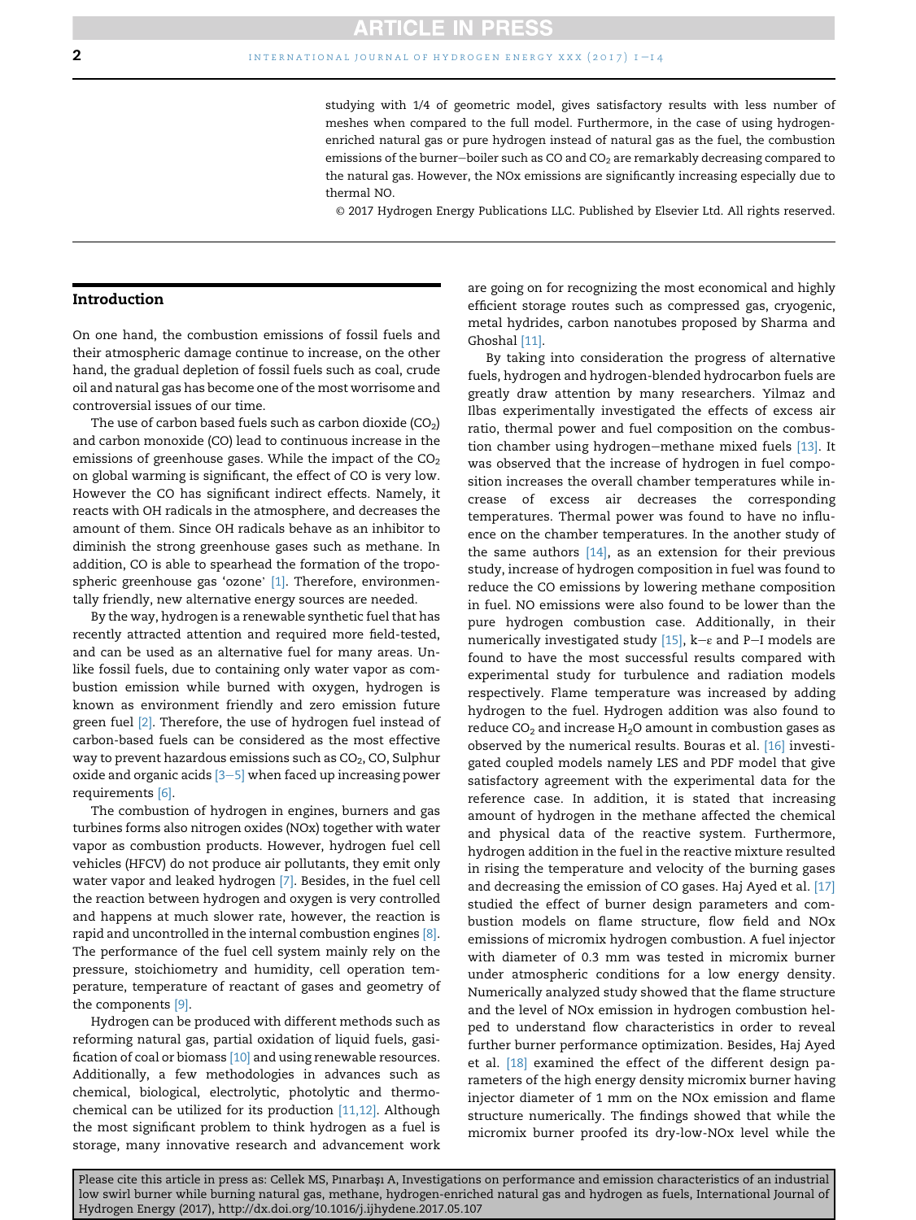studying with 1/4 of geometric model, gives satisfactory results with less number of meshes when compared to the full model. Furthermore, in the case of using hydrogenenriched natural gas or pure hydrogen instead of natural gas as the fuel, the combustion emissions of the burner-boiler such as CO and  $CO<sub>2</sub>$  are remarkably decreasing compared to the natural gas. However, the NOx emissions are significantly increasing especially due to thermal NO.

© 2017 Hydrogen Energy Publications LLC. Published by Elsevier Ltd. All rights reserved.

## Introduction

On one hand, the combustion emissions of fossil fuels and their atmospheric damage continue to increase, on the other hand, the gradual depletion of fossil fuels such as coal, crude oil and natural gas has become one of the most worrisome and controversial issues of our time.

The use of carbon based fuels such as carbon dioxide  $(CO<sub>2</sub>)$ and carbon monoxide (CO) lead to continuous increase in the emissions of greenhouse gases. While the impact of the  $CO<sub>2</sub>$ on global warming is significant, the effect of CO is very low. However the CO has significant indirect effects. Namely, it reacts with OH radicals in the atmosphere, and decreases the amount of them. Since OH radicals behave as an inhibitor to diminish the strong greenhouse gases such as methane. In addition, CO is able to spearhead the formation of the tropo-spheric greenhouse gas 'ozone' [\[1\].](#page-13-0) Therefore, environmentally friendly, new alternative energy sources are needed.

By the way, hydrogen is a renewable synthetic fuel that has recently attracted attention and required more field-tested, and can be used as an alternative fuel for many areas. Unlike fossil fuels, due to containing only water vapor as combustion emission while burned with oxygen, hydrogen is known as environment friendly and zero emission future green fuel <a>[\[2\]](#page-13-0)</a>. Therefore, the use of hydrogen fuel instead of carbon-based fuels can be considered as the most effective way to prevent hazardous emissions such as  $CO<sub>2</sub>$ , CO, Sulphur oxide and organic acids  $[3-5]$  $[3-5]$  $[3-5]$  when faced up increasing power requirements [\[6\].](#page-13-0)

The combustion of hydrogen in engines, burners and gas turbines forms also nitrogen oxides (NOx) together with water vapor as combustion products. However, hydrogen fuel cell vehicles (HFCV) do not produce air pollutants, they emit only water vapor and leaked hydrogen [\[7\]](#page-13-0). Besides, in the fuel cell the reaction between hydrogen and oxygen is very controlled and happens at much slower rate, however, the reaction is rapid and uncontrolled in the internal combustion engines [\[8\]](#page-13-0). The performance of the fuel cell system mainly rely on the pressure, stoichiometry and humidity, cell operation temperature, temperature of reactant of gases and geometry of the components [\[9\].](#page-13-0)

Hydrogen can be produced with different methods such as reforming natural gas, partial oxidation of liquid fuels, gasification of coal or biomass [\[10\]](#page-13-0) and using renewable resources. Additionally, a few methodologies in advances such as chemical, biological, electrolytic, photolytic and thermochemical can be utilized for its production [\[11,12\].](#page-13-0) Although the most significant problem to think hydrogen as a fuel is storage, many innovative research and advancement work are going on for recognizing the most economical and highly efficient storage routes such as compressed gas, cryogenic, metal hydrides, carbon nanotubes proposed by Sharma and Ghoshal [\[11\]](#page-13-0).

By taking into consideration the progress of alternative fuels, hydrogen and hydrogen-blended hydrocarbon fuels are greatly draw attention by many researchers. Yilmaz and Ilbas experimentally investigated the effects of excess air ratio, thermal power and fuel composition on the combus-tion chamber using hydrogen-methane mixed fuels [\[13\]](#page-13-0). It was observed that the increase of hydrogen in fuel composition increases the overall chamber temperatures while increase of excess air decreases the corresponding temperatures. Thermal power was found to have no influence on the chamber temperatures. In the another study of the same authors [\[14\]](#page-13-0), as an extension for their previous study, increase of hydrogen composition in fuel was found to reduce the CO emissions by lowering methane composition in fuel. NO emissions were also found to be lower than the pure hydrogen combustion case. Additionally, in their numerically investigated study [\[15\]](#page-14-0),  $k-e$  and P-I models are found to have the most successful results compared with experimental study for turbulence and radiation models respectively. Flame temperature was increased by adding hydrogen to the fuel. Hydrogen addition was also found to reduce  $CO<sub>2</sub>$  and increase  $H<sub>2</sub>O$  amount in combustion gases as observed by the numerical results. Bouras et al. [\[16\]](#page-14-0) investigated coupled models namely LES and PDF model that give satisfactory agreement with the experimental data for the reference case. In addition, it is stated that increasing amount of hydrogen in the methane affected the chemical and physical data of the reactive system. Furthermore, hydrogen addition in the fuel in the reactive mixture resulted in rising the temperature and velocity of the burning gases and decreasing the emission of CO gases. Haj Ayed et al. [\[17\]](#page-14-0) studied the effect of burner design parameters and combustion models on flame structure, flow field and NOx emissions of micromix hydrogen combustion. A fuel injector with diameter of 0.3 mm was tested in micromix burner under atmospheric conditions for a low energy density. Numerically analyzed study showed that the flame structure and the level of NOx emission in hydrogen combustion helped to understand flow characteristics in order to reveal further burner performance optimization. Besides, Haj Ayed et al. [\[18\]](#page-14-0) examined the effect of the different design parameters of the high energy density micromix burner having injector diameter of 1 mm on the NOx emission and flame structure numerically. The findings showed that while the micromix burner proofed its dry-low-NOx level while the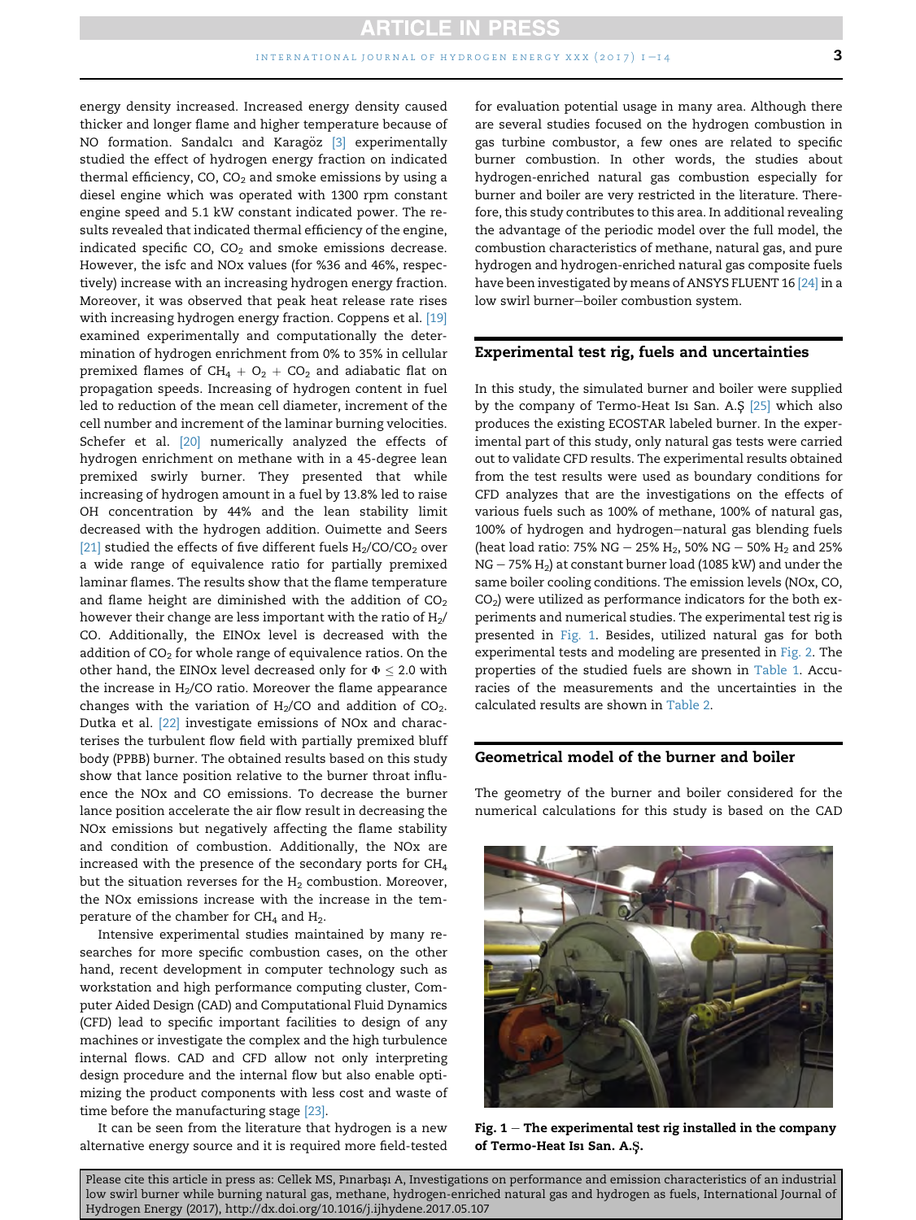energy density increased. Increased energy density caused thicker and longer flame and higher temperature because of NO formation. Sandalcı and Karagöz [\[3\]](#page-13-0) experimentally studied the effect of hydrogen energy fraction on indicated thermal efficiency,  $CO$ ,  $CO<sub>2</sub>$  and smoke emissions by using a diesel engine which was operated with 1300 rpm constant engine speed and 5.1 kW constant indicated power. The results revealed that indicated thermal efficiency of the engine, indicated specific CO,  $CO<sub>2</sub>$  and smoke emissions decrease. However, the isfc and NOx values (for %36 and 46%, respectively) increase with an increasing hydrogen energy fraction. Moreover, it was observed that peak heat release rate rises with increasing hydrogen energy fraction. Coppens et al. [\[19\]](#page-14-0) examined experimentally and computationally the determination of hydrogen enrichment from 0% to 35% in cellular premixed flames of  $CH_4 + O_2 + CO_2$  and adiabatic flat on propagation speeds. Increasing of hydrogen content in fuel led to reduction of the mean cell diameter, increment of the cell number and increment of the laminar burning velocities. Schefer et al. [\[20\]](#page-14-0) numerically analyzed the effects of hydrogen enrichment on methane with in a 45-degree lean premixed swirly burner. They presented that while increasing of hydrogen amount in a fuel by 13.8% led to raise OH concentration by 44% and the lean stability limit decreased with the hydrogen addition. Ouimette and Seers [\[21\]](#page-14-0) studied the effects of five different fuels  $H_2/CO/CO_2$  over a wide range of equivalence ratio for partially premixed laminar flames. The results show that the flame temperature and flame height are diminished with the addition of  $CO<sub>2</sub>$ however their change are less important with the ratio of  $H_2$ / CO. Additionally, the EINOx level is decreased with the addition of  $CO<sub>2</sub>$  for whole range of equivalence ratios. On the other hand, the EINOx level decreased only for  $\Phi \leq 2.0$  with the increase in  $H_2$ /CO ratio. Moreover the flame appearance changes with the variation of  $H_2/CO$  and addition of  $CO_2$ . Dutka et al. [\[22\]](#page-14-0) investigate emissions of NOx and characterises the turbulent flow field with partially premixed bluff body (PPBB) burner. The obtained results based on this study show that lance position relative to the burner throat influence the NOx and CO emissions. To decrease the burner lance position accelerate the air flow result in decreasing the NOx emissions but negatively affecting the flame stability and condition of combustion. Additionally, the NOx are increased with the presence of the secondary ports for CH4 but the situation reverses for the  $H_2$  combustion. Moreover, the NOx emissions increase with the increase in the temperature of the chamber for  $CH<sub>4</sub>$  and  $H<sub>2</sub>$ .

Intensive experimental studies maintained by many researches for more specific combustion cases, on the other hand, recent development in computer technology such as workstation and high performance computing cluster, Computer Aided Design (CAD) and Computational Fluid Dynamics (CFD) lead to specific important facilities to design of any machines or investigate the complex and the high turbulence internal flows. CAD and CFD allow not only interpreting design procedure and the internal flow but also enable optimizing the product components with less cost and waste of time before the manufacturing stage [\[23\].](#page-14-0)

It can be seen from the literature that hydrogen is a new alternative energy source and it is required more field-tested for evaluation potential usage in many area. Although there are several studies focused on the hydrogen combustion in gas turbine combustor, a few ones are related to specific burner combustion. In other words, the studies about hydrogen-enriched natural gas combustion especially for burner and boiler are very restricted in the literature. Therefore, this study contributes to this area. In additional revealing the advantage of the periodic model over the full model, the combustion characteristics of methane, natural gas, and pure hydrogen and hydrogen-enriched natural gas composite fuels have been investigated by means of ANSYS FLUENT 16 [\[24\]](#page-14-0) in a low swirl burner-boiler combustion system.

# Experimental test rig, fuels and uncertainties

In this study, the simulated burner and boiler were supplied by the company of Termo-Heat Isi San. A.S [\[25\]](#page-14-0) which also produces the existing ECOSTAR labeled burner. In the experimental part of this study, only natural gas tests were carried out to validate CFD results. The experimental results obtained from the test results were used as boundary conditions for CFD analyzes that are the investigations on the effects of various fuels such as 100% of methane, 100% of natural gas, 100% of hydrogen and hydrogen-natural gas blending fuels (heat load ratio: 75% NG – 25% H<sub>2</sub>, 50% NG – 50% H<sub>2</sub> and 25%  $NG - 75\% H<sub>2</sub>$ ) at constant burner load (1085 kW) and under the same boiler cooling conditions. The emission levels (NOx, CO,  $CO<sub>2</sub>$ ) were utilized as performance indicators for the both experiments and numerical studies. The experimental test rig is presented in Fig. 1. Besides, utilized natural gas for both experimental tests and modeling are presented in [Fig. 2](#page-4-0). The properties of the studied fuels are shown in [Table 1.](#page-4-0) Accuracies of the measurements and the uncertainties in the calculated results are shown in [Table 2.](#page-4-0)

## Geometrical model of the burner and boiler

The geometry of the burner and boiler considered for the numerical calculations for this study is based on the CAD



Fig.  $1 -$  The experimental test rig installed in the company of Termo-Heat Isi San. A.Ş.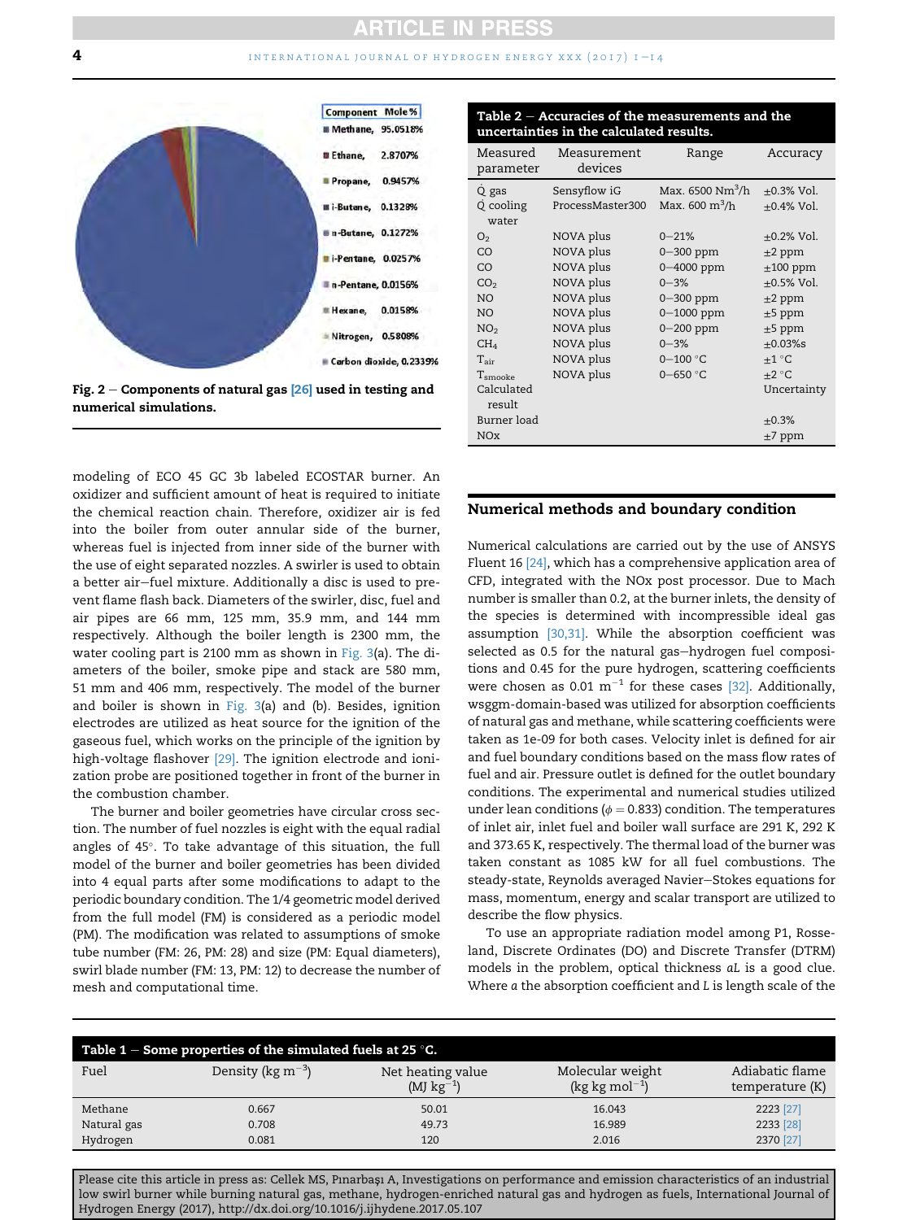#### <span id="page-4-0"></span>**4** [international journal of hydrogen energy xxx \(2017\) 1](http://dx.doi.org/10.1016/j.ijhydene.2017.05.107)  $-$  14



Fig. 2 – Components of natural gas  $[26]$  used in testing and numerical simulations.

modeling of ECO 45 GC 3b labeled ECOSTAR burner. An oxidizer and sufficient amount of heat is required to initiate the chemical reaction chain. Therefore, oxidizer air is fed into the boiler from outer annular side of the burner, whereas fuel is injected from inner side of the burner with the use of eight separated nozzles. A swirler is used to obtain a better air-fuel mixture. Additionally a disc is used to prevent flame flash back. Diameters of the swirler, disc, fuel and air pipes are 66 mm, 125 mm, 35.9 mm, and 144 mm respectively. Although the boiler length is 2300 mm, the water cooling part is 2100 mm as shown in [Fig. 3](#page-5-0)(a). The diameters of the boiler, smoke pipe and stack are 580 mm, 51 mm and 406 mm, respectively. The model of the burner and boiler is shown in [Fig. 3\(](#page-5-0)a) and (b). Besides, ignition electrodes are utilized as heat source for the ignition of the gaseous fuel, which works on the principle of the ignition by high-voltage flashover <a>[\[29\]](#page-14-0)</a>. The ignition electrode and ionization probe are positioned together in front of the burner in the combustion chamber.

The burner and boiler geometries have circular cross section. The number of fuel nozzles is eight with the equal radial angles of 45°. To take advantage of this situation, the full model of the burner and boiler geometries has been divided into 4 equal parts after some modifications to adapt to the periodic boundary condition. The 1/4 geometric model derived from the full model (FM) is considered as a periodic model (PM). The modification was related to assumptions of smoke tube number (FM: 26, PM: 28) and size (PM: Equal diameters), swirl blade number (FM: 13, PM: 12) to decrease the number of mesh and computational time.

| Table 2 – Accuracies of the measurements and the |
|--------------------------------------------------|
| uncertainties in the calculated results.         |

| Measured<br>parameter       | Measurement<br>devices           | Range                                                                | Accuracy                       |
|-----------------------------|----------------------------------|----------------------------------------------------------------------|--------------------------------|
| Q gas<br>Q cooling<br>water | Sensyflow iG<br>ProcessMaster300 | Max. $6500 \text{ Nm}^3/\text{h}$<br>Max. $600 \text{ m}^3/\text{h}$ | $+0.3\%$ Vol.<br>$+0.4\%$ Vol. |
| O <sub>2</sub>              | NOVA plus                        | $0 - 21%$                                                            | $+0.2\%$ Vol.                  |
| CO                          | NOVA plus                        | $0 - 300$ ppm                                                        | $\pm 2$ ppm                    |
| CO                          | NOVA plus                        | 0-4000 ppm                                                           | $\pm 100$ ppm                  |
| CO <sub>2</sub>             | NOVA plus                        | $0 - 3%$                                                             | $+0.5\%$ Vol.                  |
| NO.                         | NOVA plus                        | $0 - 300$ ppm                                                        | $\pm 2$ ppm                    |
| NO.                         | NOVA plus                        | $0 - 1000$ ppm                                                       | $\pm 5$ ppm                    |
| NO <sub>2</sub>             | NOVA plus                        | $0-200$ ppm                                                          | $\pm 5$ ppm                    |
| CH <sub>4</sub>             | NOVA plus                        | $0 - 3%$                                                             | $+0.03\%$ s                    |
| $T_{\rm air}$               | NOVA plus                        | $0 - 100 °C$                                                         | $+1\degree C$                  |
| $\mathrm{T_{smooke}}$       | NOVA plus                        | $0 - 650 °C$                                                         | $+2 °C$                        |
| Calculated<br>result        |                                  |                                                                      | Uncertainty                    |
| Burner load                 |                                  |                                                                      | $\pm 0.3\%$                    |
| <b>NOx</b>                  |                                  |                                                                      | $\pm$ 7 ppm                    |

#### Numerical methods and boundary condition

Numerical calculations are carried out by the use of ANSYS Fluent 16 [\[24\],](#page-14-0) which has a comprehensive application area of CFD, integrated with the NOx post processor. Due to Mach number is smaller than 0.2, at the burner inlets, the density of the species is determined with incompressible ideal gas assumption [\[30,31\].](#page-14-0) While the absorption coefficient was selected as 0.5 for the natural gas-hydrogen fuel compositions and 0.45 for the pure hydrogen, scattering coefficients were chosen as 0.01  $m^{-1}$  for these cases [\[32\]](#page-14-0). Additionally, wsggm-domain-based was utilized for absorption coefficients of natural gas and methane, while scattering coefficients were taken as 1e-09 for both cases. Velocity inlet is defined for air and fuel boundary conditions based on the mass flow rates of fuel and air. Pressure outlet is defined for the outlet boundary conditions. The experimental and numerical studies utilized under lean conditions ( $\phi = 0.833$ ) condition. The temperatures of inlet air, inlet fuel and boiler wall surface are 291 K, 292 K and 373.65 K, respectively. The thermal load of the burner was taken constant as 1085 kW for all fuel combustions. The steady-state, Reynolds averaged Navier-Stokes equations for mass, momentum, energy and scalar transport are utilized to describe the flow physics.

To use an appropriate radiation model among P1, Rosseland, Discrete Ordinates (DO) and Discrete Transfer (DTRM) models in the problem, optical thickness aL is a good clue. Where a the absorption coefficient and L is length scale of the

| Table $1$ – Some properties of the simulated fuels at 25 °C. |                                |                                      |                                     |                                      |  |  |
|--------------------------------------------------------------|--------------------------------|--------------------------------------|-------------------------------------|--------------------------------------|--|--|
| Fuel                                                         | Density ( $\text{kg m}^{-3}$ ) | Net heating value<br>(MJ $kg^{-1}$ ) | Molecular weight<br>$(kg kg mol-1)$ | Adiabatic flame<br>temperature $(K)$ |  |  |
| Methane                                                      | 0.667                          | 50.01                                | 16.043                              | 2223 [27]                            |  |  |
| Natural gas                                                  | 0.708                          | 49.73                                | 16.989                              | 2233 [28]                            |  |  |
| Hydrogen                                                     | 0.081                          | 120                                  | 2.016                               | 2370 [27]                            |  |  |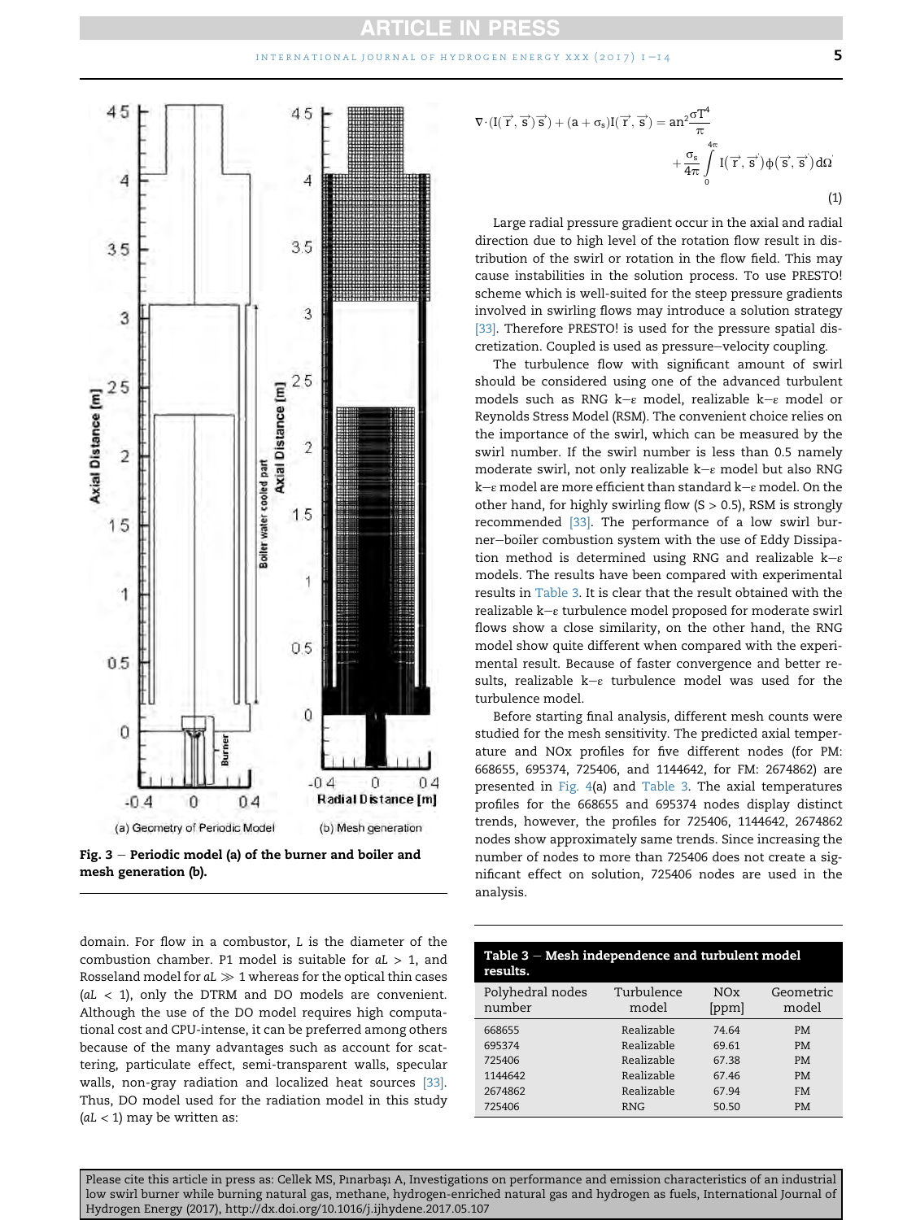#### INTERNATIONAL JOURNAL OF HYDROGEN ENERGY XXX  $(2017)$   $1-14$  5

<span id="page-5-0"></span>

Fig.  $3$  – Periodic model (a) of the burner and boiler and mesh generation (b).

domain. For flow in a combustor, L is the diameter of the combustion chamber. P1 model is suitable for  $aL > 1$ , and Rosseland model for  $aL\gg1$  whereas for the optical thin cases  $(al < 1$ ), only the DTRM and DO models are convenient. Although the use of the DO model requires high computational cost and CPU-intense, it can be preferred among others because of the many advantages such as account for scattering, particulate effect, semi-transparent walls, specular walls, non-gray radiation and localized heat sources [\[33\].](#page-14-0) Thus, DO model used for the radiation model in this study  $(al < 1)$  may be written as:

$$
\nabla \cdot (I(\overrightarrow{r}, \overrightarrow{s})\overrightarrow{s}) + (a + \sigma_s)I(\overrightarrow{r}, \overrightarrow{s}) = an^2 \frac{\sigma T^4}{\pi} + \frac{\sigma_s}{4\pi} \int_{0}^{4\pi} I(\overrightarrow{r}, \overrightarrow{s}) \Phi(\overrightarrow{s}, \overrightarrow{s}) d\Omega
$$
\n(1)

Large radial pressure gradient occur in the axial and radial direction due to high level of the rotation flow result in distribution of the swirl or rotation in the flow field. This may cause instabilities in the solution process. To use PRESTO! scheme which is well-suited for the steep pressure gradients involved in swirling flows may introduce a solution strategy [\[33\].](#page-14-0) Therefore PRESTO! is used for the pressure spatial discretization. Coupled is used as pressure-velocity coupling.

The turbulence flow with significant amount of swirl should be considered using one of the advanced turbulent models such as RNG k- $\varepsilon$  model, realizable k- $\varepsilon$  model or Reynolds Stress Model (RSM). The convenient choice relies on the importance of the swirl, which can be measured by the swirl number. If the swirl number is less than 0.5 namely moderate swirl, not only realizable  $k-e$  model but also RNG  $k-e$  model are more efficient than standard  $k-e$  model. On the other hand, for highly swirling flow  $(S > 0.5)$ , RSM is strongly recommended [\[33\]](#page-14-0). The performance of a low swirl burner-boiler combustion system with the use of Eddy Dissipation method is determined using RNG and realizable  $k-e$ models. The results have been compared with experimental results in Table 3. It is clear that the result obtained with the realizable  $k-e$  turbulence model proposed for moderate swirl flows show a close similarity, on the other hand, the RNG model show quite different when compared with the experimental result. Because of faster convergence and better results, realizable  $k-e$  turbulence model was used for the turbulence model.

Before starting final analysis, different mesh counts were studied for the mesh sensitivity. The predicted axial temperature and NOx profiles for five different nodes (for PM: 668655, 695374, 725406, and 1144642, for FM: 2674862) are presented in [Fig. 4](#page-6-0)(a) and Table 3. The axial temperatures profiles for the 668655 and 695374 nodes display distinct trends, however, the profiles for 725406, 1144642, 2674862 nodes show approximately same trends. Since increasing the number of nodes to more than 725406 does not create a significant effect on solution, 725406 nodes are used in the analysis.

| Table $3$ – Mesh independence and turbulent model<br>results. |                     |              |                    |  |  |
|---------------------------------------------------------------|---------------------|--------------|--------------------|--|--|
| Polyhedral nodes<br>number                                    | Turbulence<br>model | NOx<br>[ppm] | Geometric<br>model |  |  |
| 668655                                                        | Realizable          | 74.64        | <b>PM</b>          |  |  |
| 695374                                                        | Realizable          | 69.61        | <b>PM</b>          |  |  |
| 725406                                                        | Realizable          | 67.38        | <b>PM</b>          |  |  |
| 1144642                                                       | Realizable          | 67.46        | <b>PM</b>          |  |  |
| 2674862                                                       | Realizable          | 67.94        | <b>FM</b>          |  |  |
| 725406                                                        | <b>RNG</b>          | 50.50        | <b>PM</b>          |  |  |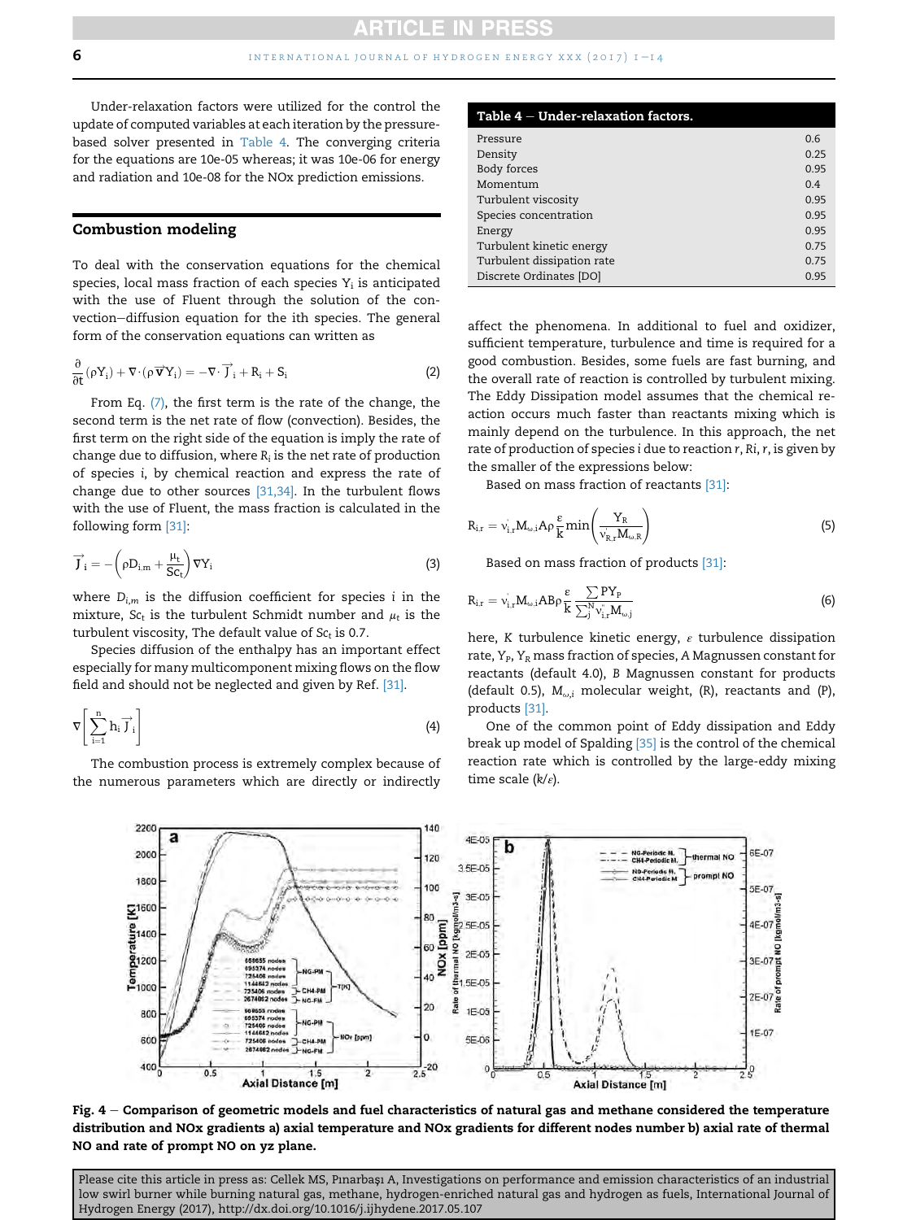<span id="page-6-0"></span>Under-relaxation factors were utilized for the control the update of computed variables at each iteration by the pressurebased solver presented in Table 4. The converging criteria for the equations are 10e-05 whereas; it was 10e-06 for energy and radiation and 10e-08 for the NOx prediction emissions.

#### Combustion modeling

To deal with the conservation equations for the chemical species, local mass fraction of each species  $Y_i$  is anticipated with the use of Fluent through the solution of the convection-diffusion equation for the ith species. The general form of the conservation equations can written as

$$
\frac{\partial}{\partial t}(\rho Y_i) + \nabla \cdot (\rho \overrightarrow{\mathbf{v}} Y_i) = -\nabla \cdot \overrightarrow{J}_i + R_i + S_i \tag{2}
$$

From Eq.  $(7)$ , the first term is the rate of the change, the second term is the net rate of flow (convection). Besides, the first term on the right side of the equation is imply the rate of change due to diffusion, where  $R_i$  is the net rate of production of species i, by chemical reaction and express the rate of change due to other sources [\[31,34\]](#page-14-0). In the turbulent flows with the use of Fluent, the mass fraction is calculated in the following form [\[31\]](#page-14-0):

$$
\overrightarrow{J}_{i} = -\left(\rho D_{i,m} + \frac{\mu_{t}}{Sc_{t}}\right) \nabla Y_{i}
$$
\n(3)

where  $D_{i,m}$  is the diffusion coefficient for species i in the mixture,  $Sc_t$  is the turbulent Schmidt number and  $\mu_t$  is the turbulent viscosity, The default value of  $Sc<sub>t</sub>$  is 0.7.

Species diffusion of the enthalpy has an important effect especially for many multicomponent mixing flows on the flow field and should not be neglected and given by Ref. [\[31\].](#page-14-0)

$$
\nabla \left[ \sum_{i=1}^{n} h_i \overrightarrow{J}_i \right]
$$
 (4)

The combustion process is extremely complex because of the numerous parameters which are directly or indirectly

| Table $4$ $-$ Under-relaxation factors. |      |
|-----------------------------------------|------|
| Pressure                                | 0.6  |
| Density                                 | 0.25 |
| Body forces                             | 0.95 |
| Momentum                                | 0.4  |
| Turbulent viscosity                     | 0.95 |
| Species concentration                   | 0.95 |
| Energy                                  | 0.95 |
| Turbulent kinetic energy                | 0.75 |
| Turbulent dissipation rate              | 0.75 |
| Discrete Ordinates [DO]                 | 0.95 |

affect the phenomena. In additional to fuel and oxidizer, sufficient temperature, turbulence and time is required for a good combustion. Besides, some fuels are fast burning, and the overall rate of reaction is controlled by turbulent mixing. The Eddy Dissipation model assumes that the chemical reaction occurs much faster than reactants mixing which is mainly depend on the turbulence. In this approach, the net rate of production of species i due to reaction r, Ri, r, is given by the smaller of the expressions below:

Based on mass fraction of reactants [\[31\]](#page-14-0):

$$
R_{i,r} = v_{i,r} M_{\omega,i} A \rho \frac{\varepsilon}{k} \min \left( \frac{Y_R}{v_{R,r} M_{\omega,R}} \right)
$$
 (5)

Based on mass fraction of products [\[31\]](#page-14-0):

$$
R_{i,r} = v_{i,r} M_{\omega,i} A B \rho \frac{\varepsilon}{k} \frac{\sum PY_P}{\sum_j^N v_{i,r}^* M_{\omega,j}}
$$
(6)

here, K turbulence kinetic energy,  $\varepsilon$  turbulence dissipation rate,  $Y_P$ ,  $Y_R$  mass fraction of species, A Magnussen constant for reactants (default 4.0), B Magnussen constant for products (default 0.5),  $M_{\omega,i}$  molecular weight, (R), reactants and (P), products [\[31\].](#page-14-0)

One of the common point of Eddy dissipation and Eddy break up model of Spalding [\[35\]](#page-14-0) is the control of the chemical reaction rate which is controlled by the large-eddy mixing time scale  $(k/\varepsilon)$ .



Fig.  $4$  – Comparison of geometric models and fuel characteristics of natural gas and methane considered the temperature distribution and NOx gradients a) axial temperature and NOx gradients for different nodes number b) axial rate of thermal NO and rate of prompt NO on yz plane.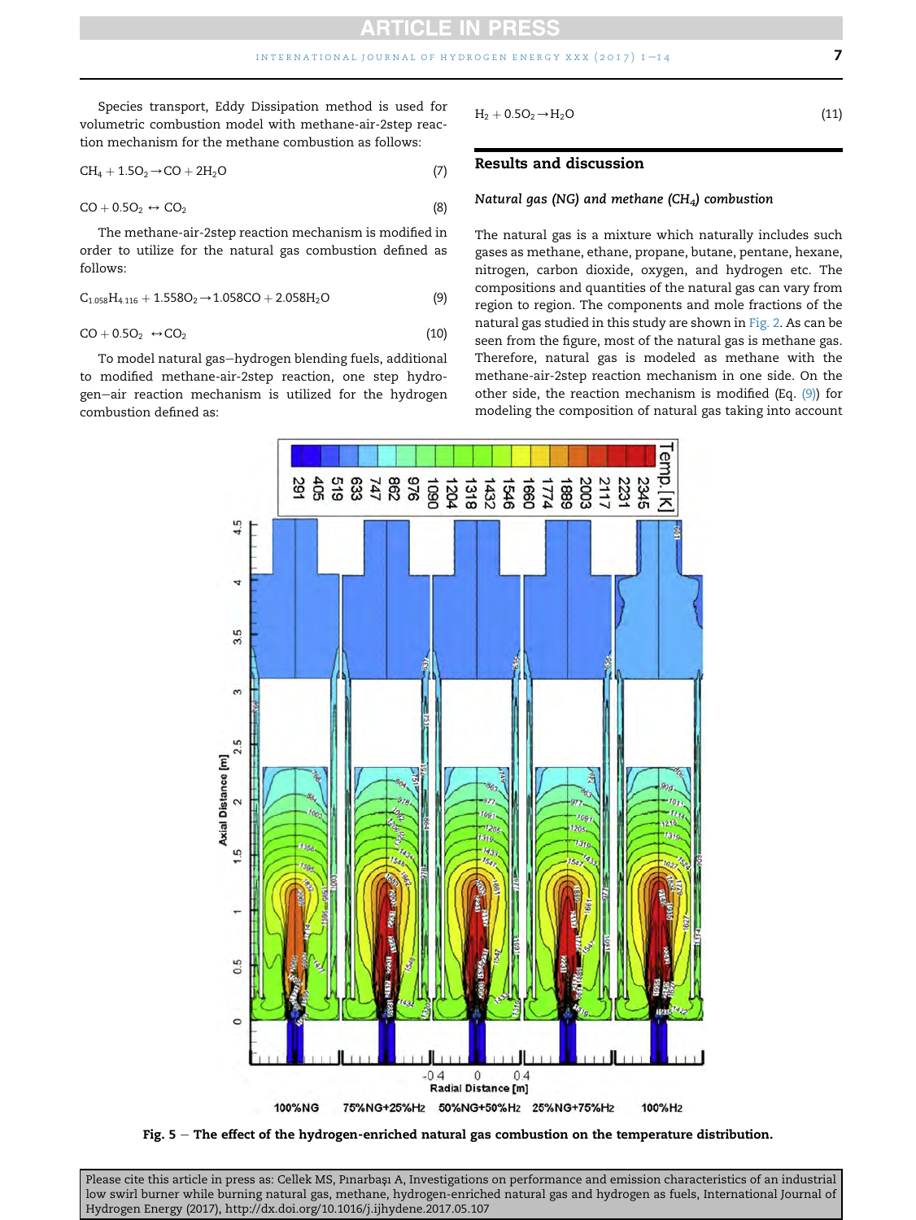<span id="page-7-0"></span>Species transport, Eddy Dissipation method is used for volumetric combustion model with methane-air-2step reaction mechanism for the methane combustion as follows:

$$
CH_4 + 1.5O_2 \rightarrow CO + 2H_2O \tag{7}
$$

$$
CO + 0.5O2 \leftrightarrow CO2
$$
 (8)

The methane-air-2step reaction mechanism is modified in order to utilize for the natural gas combustion defined as follows:

$$
C_{1.058}H_{4.116} + 1.558O_2 \rightarrow 1.058CO + 2.058H_2O
$$
 (9)

$$
CO + 0.5O2 \leftrightarrow CO2
$$
 (10)

To model natural gas-hydrogen blending fuels, additional to modified methane-air-2step reaction, one step hydrogen-air reaction mechanism is utilized for the hydrogen combustion defined as:

 $H_2 + 0.5O_2 \rightarrow H_2O$  (11)

# Results and discussion

#### Natural gas (NG) and methane (CH<sub>4</sub>) combustion

The natural gas is a mixture which naturally includes such gases as methane, ethane, propane, butane, pentane, hexane, nitrogen, carbon dioxide, oxygen, and hydrogen etc. The compositions and quantities of the natural gas can vary from region to region. The components and mole fractions of the natural gas studied in this study are shown in [Fig. 2](#page-4-0). As can be seen from the figure, most of the natural gas is methane gas. Therefore, natural gas is modeled as methane with the methane-air-2step reaction mechanism in one side. On the other side, the reaction mechanism is modified (Eq. (9)) for modeling the composition of natural gas taking into account



Fig. 5 - The effect of the hydrogen-enriched natural gas combustion on the temperature distribution.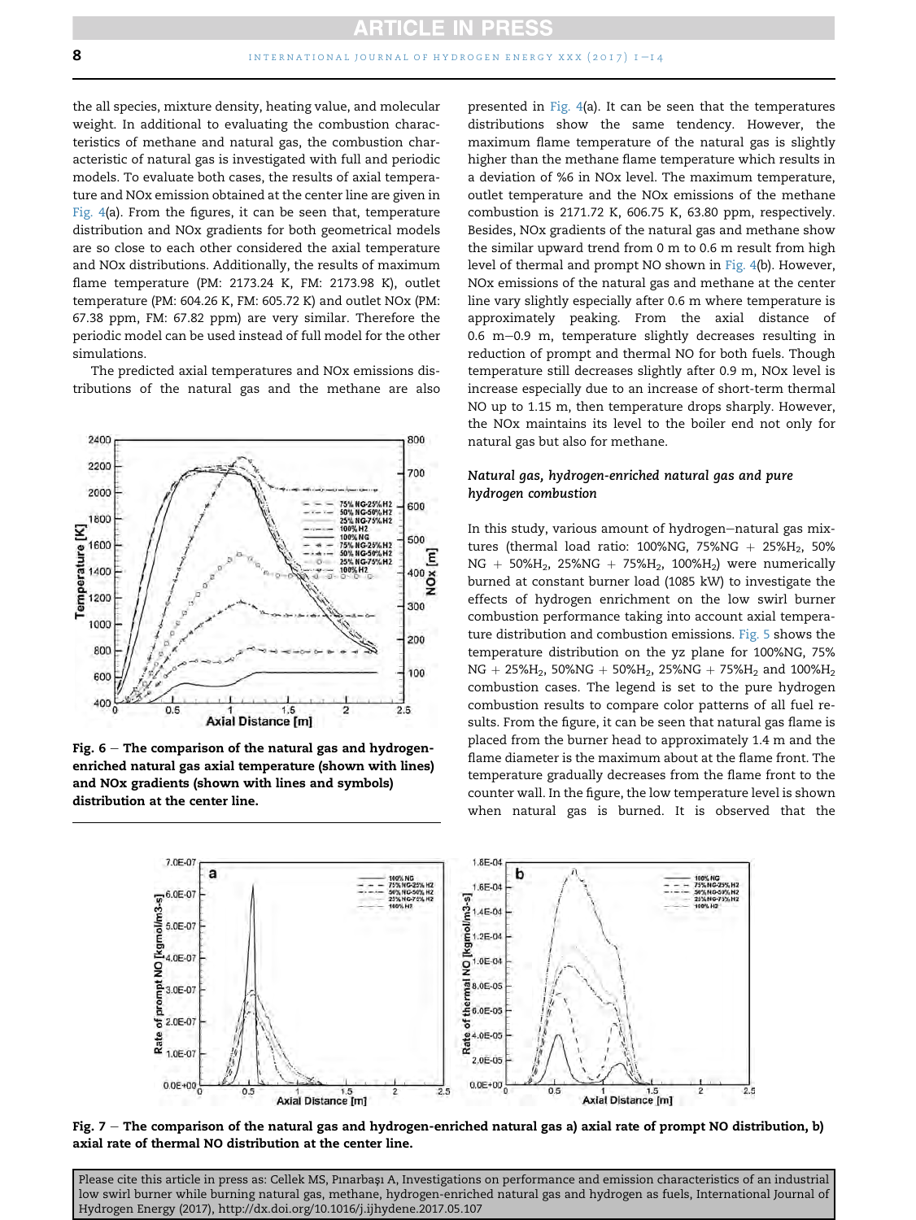<span id="page-8-0"></span>the all species, mixture density, heating value, and molecular weight. In additional to evaluating the combustion characteristics of methane and natural gas, the combustion characteristic of natural gas is investigated with full and periodic models. To evaluate both cases, the results of axial temperature and NOx emission obtained at the center line are given in [Fig. 4\(](#page-6-0)a). From the figures, it can be seen that, temperature distribution and NOx gradients for both geometrical models are so close to each other considered the axial temperature and NOx distributions. Additionally, the results of maximum flame temperature (PM: 2173.24 K, FM: 2173.98 K), outlet temperature (PM: 604.26 K, FM: 605.72 K) and outlet NOx (PM: 67.38 ppm, FM: 67.82 ppm) are very similar. Therefore the periodic model can be used instead of full model for the other simulations.

The predicted axial temperatures and NOx emissions distributions of the natural gas and the methane are also



Fig.  $6$  – The comparison of the natural gas and hydrogenenriched natural gas axial temperature (shown with lines) and NOx gradients (shown with lines and symbols) distribution at the center line.

presented in [Fig. 4](#page-6-0)(a). It can be seen that the temperatures distributions show the same tendency. However, the maximum flame temperature of the natural gas is slightly higher than the methane flame temperature which results in a deviation of %6 in NOx level. The maximum temperature, outlet temperature and the NOx emissions of the methane combustion is 2171.72 K, 606.75 K, 63.80 ppm, respectively. Besides, NOx gradients of the natural gas and methane show the similar upward trend from 0 m to 0.6 m result from high level of thermal and prompt NO shown in [Fig. 4](#page-6-0)(b). However, NOx emissions of the natural gas and methane at the center line vary slightly especially after 0.6 m where temperature is approximately peaking. From the axial distance of  $0.6$  m $-0.9$  m, temperature slightly decreases resulting in reduction of prompt and thermal NO for both fuels. Though temperature still decreases slightly after 0.9 m, NOx level is increase especially due to an increase of short-term thermal NO up to 1.15 m, then temperature drops sharply. However, the NOx maintains its level to the boiler end not only for natural gas but also for methane.

## Natural gas, hydrogen-enriched natural gas and pure hydrogen combustion

In this study, various amount of hydrogen-natural gas mixtures (thermal load ratio: 100%NG, 75%NG + 25%H<sub>2</sub>, 50%  $NG + 50\%H_2$ , 25% $NG + 75\%H_2$ , 100% $H_2$ ) were numerically burned at constant burner load (1085 kW) to investigate the effects of hydrogen enrichment on the low swirl burner combustion performance taking into account axial temperature distribution and combustion emissions. [Fig. 5](#page-7-0) shows the temperature distribution on the yz plane for 100%NG, 75%  $NG + 25\%H_2$ , 50% $NG + 50\%H_2$ , 25% $NG + 75\%H_2$  and 100% $H_2$ combustion cases. The legend is set to the pure hydrogen combustion results to compare color patterns of all fuel results. From the figure, it can be seen that natural gas flame is placed from the burner head to approximately 1.4 m and the flame diameter is the maximum about at the flame front. The temperature gradually decreases from the flame front to the counter wall. In the figure, the low temperature level is shown when natural gas is burned. It is observed that the



Fig.  $7$  – The comparison of the natural gas and hydrogen-enriched natural gas a) axial rate of prompt NO distribution, b) axial rate of thermal NO distribution at the center line.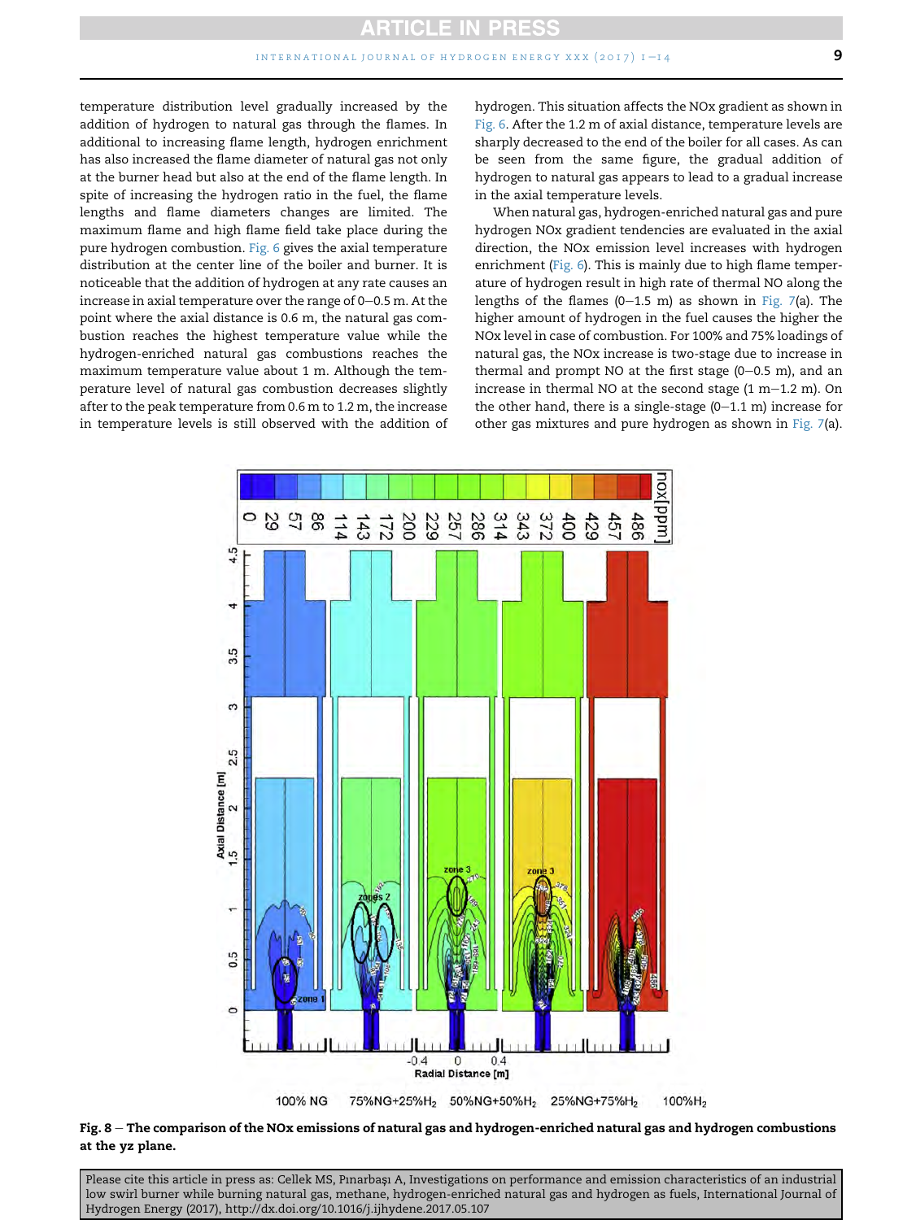<span id="page-9-0"></span>temperature distribution level gradually increased by the addition of hydrogen to natural gas through the flames. In additional to increasing flame length, hydrogen enrichment has also increased the flame diameter of natural gas not only at the burner head but also at the end of the flame length. In spite of increasing the hydrogen ratio in the fuel, the flame lengths and flame diameters changes are limited. The maximum flame and high flame field take place during the pure hydrogen combustion. [Fig. 6](#page-8-0) gives the axial temperature distribution at the center line of the boiler and burner. It is noticeable that the addition of hydrogen at any rate causes an increase in axial temperature over the range of  $0-0.5$  m. At the point where the axial distance is 0.6 m, the natural gas combustion reaches the highest temperature value while the hydrogen-enriched natural gas combustions reaches the maximum temperature value about 1 m. Although the temperature level of natural gas combustion decreases slightly after to the peak temperature from 0.6 m to 1.2 m, the increase in temperature levels is still observed with the addition of hydrogen. This situation affects the NOx gradient as shown in [Fig. 6.](#page-8-0) After the 1.2 m of axial distance, temperature levels are sharply decreased to the end of the boiler for all cases. As can be seen from the same figure, the gradual addition of hydrogen to natural gas appears to lead to a gradual increase in the axial temperature levels.

When natural gas, hydrogen-enriched natural gas and pure hydrogen NOx gradient tendencies are evaluated in the axial direction, the NOx emission level increases with hydrogen enrichment ([Fig. 6\)](#page-8-0). This is mainly due to high flame temperature of hydrogen result in high rate of thermal NO along the lengths of the flames (0-1.5 m) as shown in [Fig. 7](#page-8-0)(a). The higher amount of hydrogen in the fuel causes the higher the NOx level in case of combustion. For 100% and 75% loadings of natural gas, the NOx increase is two-stage due to increase in thermal and prompt NO at the first stage  $(0-0.5 \text{ m})$ , and an increase in thermal NO at the second stage  $(1 m-1.2 m)$ . On the other hand, there is a single-stage  $(0-1.1 \text{ m})$  increase for other gas mixtures and pure hydrogen as shown in [Fig. 7](#page-8-0)(a).



Fig.  $8$  – The comparison of the NOx emissions of natural gas and hydrogen-enriched natural gas and hydrogen combustions at the yz plane.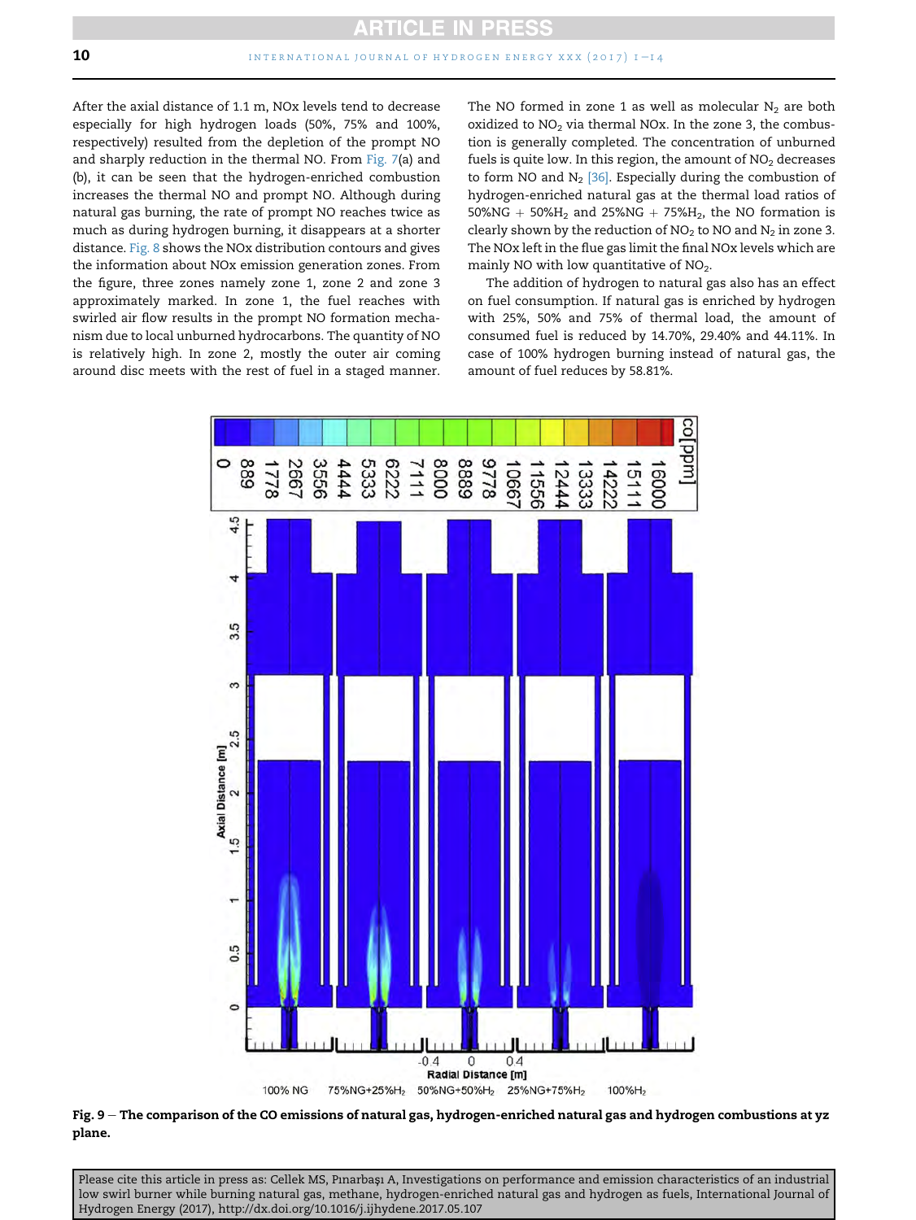<span id="page-10-0"></span>After the axial distance of 1.1 m, NOx levels tend to decrease especially for high hydrogen loads (50%, 75% and 100%, respectively) resulted from the depletion of the prompt NO and sharply reduction in the thermal NO. From [Fig. 7](#page-8-0)(a) and (b), it can be seen that the hydrogen-enriched combustion increases the thermal NO and prompt NO. Although during natural gas burning, the rate of prompt NO reaches twice as much as during hydrogen burning, it disappears at a shorter distance. [Fig. 8](#page-9-0) shows the NOx distribution contours and gives the information about NOx emission generation zones. From the figure, three zones namely zone 1, zone 2 and zone 3 approximately marked. In zone 1, the fuel reaches with swirled air flow results in the prompt NO formation mechanism due to local unburned hydrocarbons. The quantity of NO is relatively high. In zone 2, mostly the outer air coming around disc meets with the rest of fuel in a staged manner. The NO formed in zone 1 as well as molecular  $N<sub>2</sub>$  are both oxidized to  $NO<sub>2</sub>$  via thermal NOx. In the zone 3, the combustion is generally completed. The concentration of unburned fuels is quite low. In this region, the amount of  $NO<sub>2</sub>$  decreases to form NO and  $N_2$  [\[36\].](#page-14-0) Especially during the combustion of hydrogen-enriched natural gas at the thermal load ratios of  $50\%NG + 50\%H_2$  and  $25\%NG + 75\%H_2$ , the NO formation is clearly shown by the reduction of  $NO<sub>2</sub>$  to  $NO$  and  $N<sub>2</sub>$  in zone 3. The NOx left in the flue gas limit the final NOx levels which are mainly NO with low quantitative of  $NO<sub>2</sub>$ .

The addition of hydrogen to natural gas also has an effect on fuel consumption. If natural gas is enriched by hydrogen with 25%, 50% and 75% of thermal load, the amount of consumed fuel is reduced by 14.70%, 29.40% and 44.11%. In case of 100% hydrogen burning instead of natural gas, the amount of fuel reduces by 58.81%.



Fig. 9 - The comparison of the CO emissions of natural gas, hydrogen-enriched natural gas and hydrogen combustions at yz plane.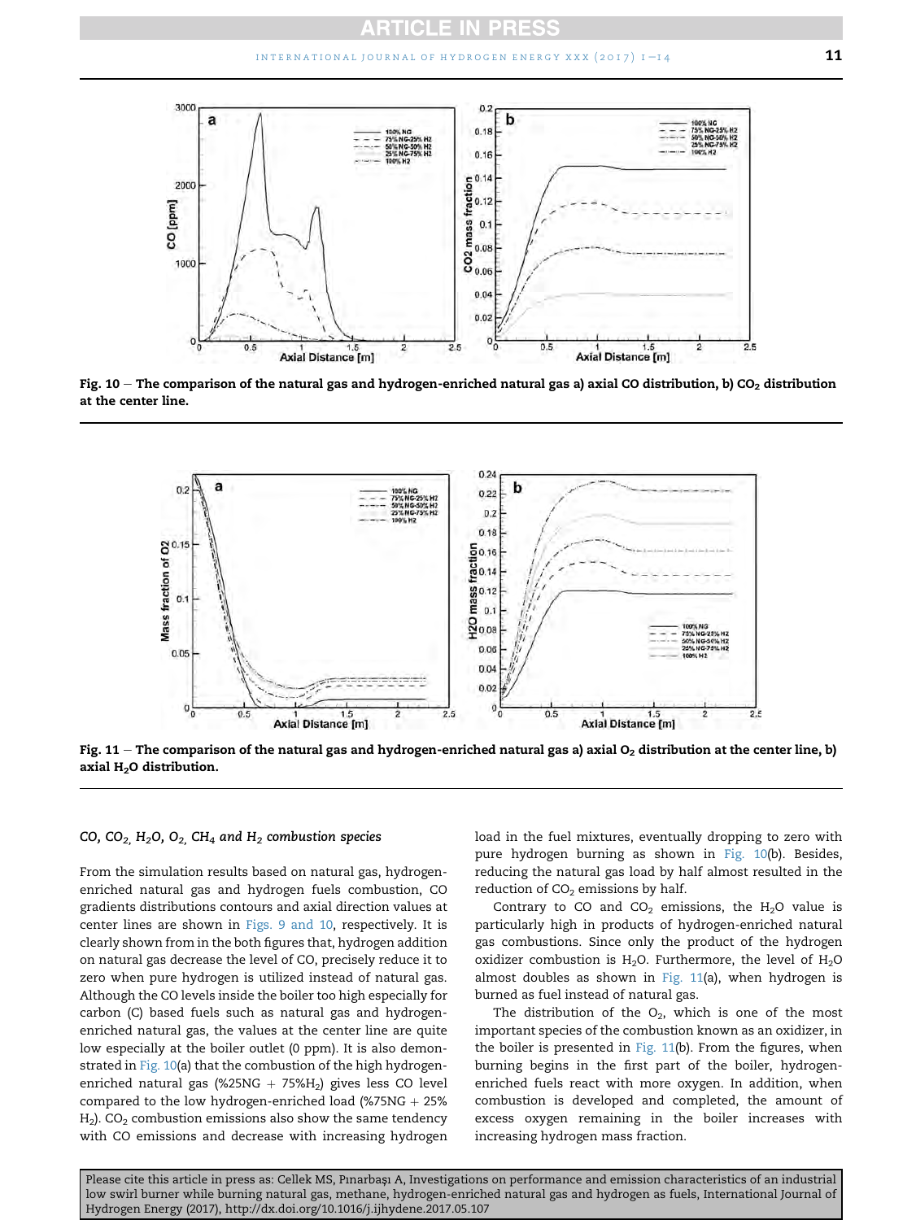

Fig.  $10$  – The comparison of the natural gas and hydrogen-enriched natural gas a) axial CO distribution, b) CO<sub>2</sub> distribution at the center line.



Fig. 11 – The comparison of the natural gas and hydrogen-enriched natural gas a) axial  $O_2$  distribution at the center line, b) axial  $H<sub>2</sub>O$  distribution.

#### CO,  $CO<sub>2</sub>$ , H<sub>2</sub>O, O<sub>2</sub>, CH<sub>4</sub> and H<sub>2</sub> combustion species

From the simulation results based on natural gas, hydrogenenriched natural gas and hydrogen fuels combustion, CO gradients distributions contours and axial direction values at center lines are shown in [Figs. 9 and 10,](#page-10-0) respectively. It is clearly shown from in the both figures that, hydrogen addition on natural gas decrease the level of CO, precisely reduce it to zero when pure hydrogen is utilized instead of natural gas. Although the CO levels inside the boiler too high especially for carbon (C) based fuels such as natural gas and hydrogenenriched natural gas, the values at the center line are quite low especially at the boiler outlet (0 ppm). It is also demonstrated in Fig. 10(a) that the combustion of the high hydrogenenriched natural gas (%25NG + 75% $H_2$ ) gives less CO level compared to the low hydrogen-enriched load (%75NG  $+$  25%  $H_2$ ). CO<sub>2</sub> combustion emissions also show the same tendency with CO emissions and decrease with increasing hydrogen load in the fuel mixtures, eventually dropping to zero with pure hydrogen burning as shown in Fig. 10(b). Besides, reducing the natural gas load by half almost resulted in the reduction of  $CO<sub>2</sub>$  emissions by half.

Contrary to CO and  $CO<sub>2</sub>$  emissions, the H<sub>2</sub>O value is particularly high in products of hydrogen-enriched natural gas combustions. Since only the product of the hydrogen oxidizer combustion is  $H_2O$ . Furthermore, the level of  $H_2O$ almost doubles as shown in Fig. 11(a), when hydrogen is burned as fuel instead of natural gas.

The distribution of the  $O_2$ , which is one of the most important species of the combustion known as an oxidizer, in the boiler is presented in Fig. 11(b). From the figures, when burning begins in the first part of the boiler, hydrogenenriched fuels react with more oxygen. In addition, when combustion is developed and completed, the amount of excess oxygen remaining in the boiler increases with increasing hydrogen mass fraction.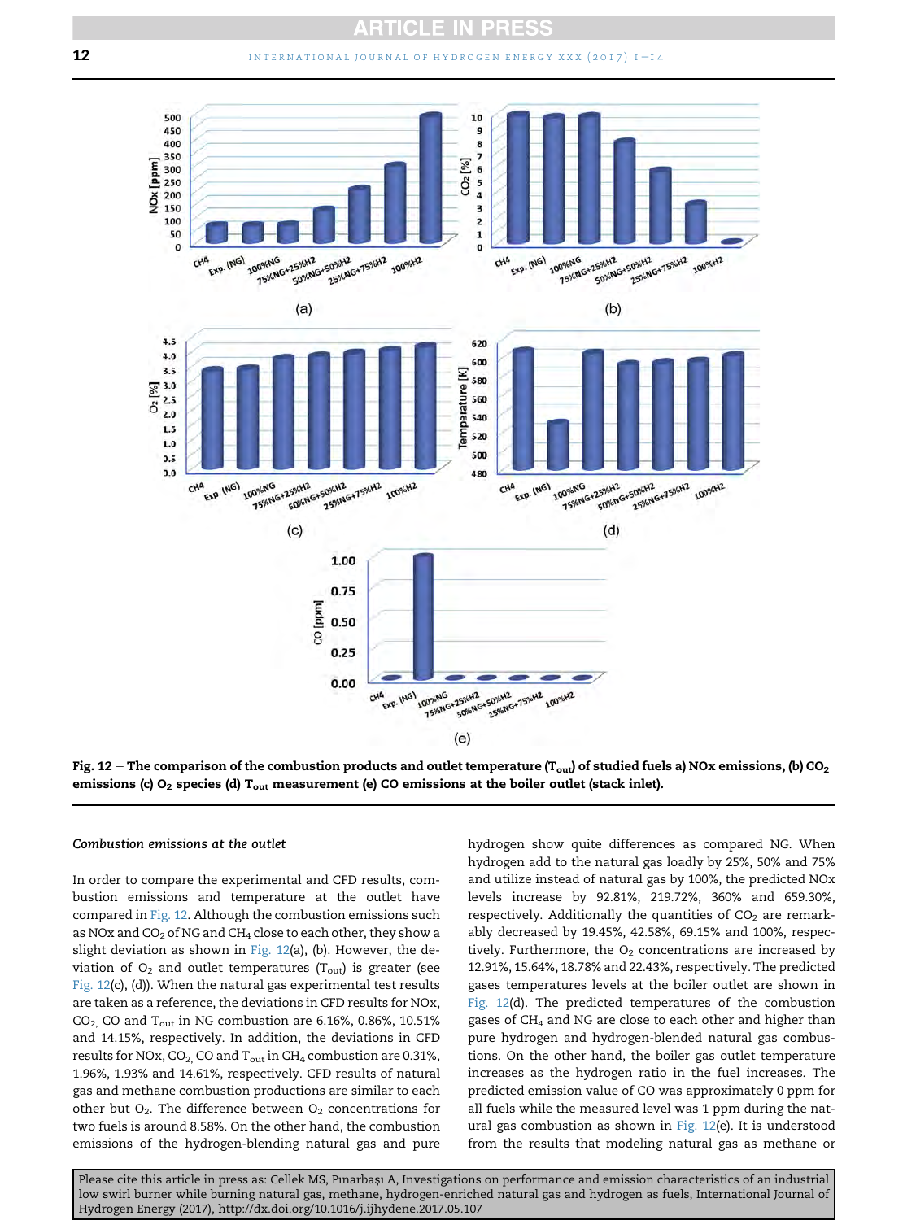

Fig. 12 – The comparison of the combustion products and outlet temperature (T<sub>out</sub>) of studied fuels a) NOx emissions, (b) CO<sub>2</sub> emissions (c)  $O_2$  species (d)  $T_{\text{out}}$  measurement (e) CO emissions at the boiler outlet (stack inlet).

#### Combustion emissions at the outlet

In order to compare the experimental and CFD results, combustion emissions and temperature at the outlet have compared in Fig. 12. Although the combustion emissions such as NOx and  $CO<sub>2</sub>$  of NG and CH<sub>4</sub> close to each other, they show a slight deviation as shown in Fig.  $12(a)$ , (b). However, the deviation of  $O_2$  and outlet temperatures (T<sub>out</sub>) is greater (see Fig. 12(c), (d)). When the natural gas experimental test results are taken as a reference, the deviations in CFD results for NOx,  $CO<sub>2</sub>$ , CO and T<sub>out</sub> in NG combustion are 6.16%, 0.86%, 10.51% and 14.15%, respectively. In addition, the deviations in CFD results for NOx,  $CO_2$ , CO and  $T_{out}$  in CH<sub>4</sub> combustion are 0.31%, 1.96%, 1.93% and 14.61%, respectively. CFD results of natural gas and methane combustion productions are similar to each other but  $O_2$ . The difference between  $O_2$  concentrations for two fuels is around 8.58%. On the other hand, the combustion emissions of the hydrogen-blending natural gas and pure hydrogen show quite differences as compared NG. When hydrogen add to the natural gas loadly by 25%, 50% and 75% and utilize instead of natural gas by 100%, the predicted NOx levels increase by 92.81%, 219.72%, 360% and 659.30%, respectively. Additionally the quantities of  $CO<sub>2</sub>$  are remarkably decreased by 19.45%, 42.58%, 69.15% and 100%, respectively. Furthermore, the  $O<sub>2</sub>$  concentrations are increased by 12.91%, 15.64%, 18.78% and 22.43%, respectively. The predicted gases temperatures levels at the boiler outlet are shown in Fig. 12(d). The predicted temperatures of the combustion gases of CH4 and NG are close to each other and higher than pure hydrogen and hydrogen-blended natural gas combustions. On the other hand, the boiler gas outlet temperature increases as the hydrogen ratio in the fuel increases. The predicted emission value of CO was approximately 0 ppm for all fuels while the measured level was 1 ppm during the natural gas combustion as shown in Fig. 12(e). It is understood from the results that modeling natural gas as methane or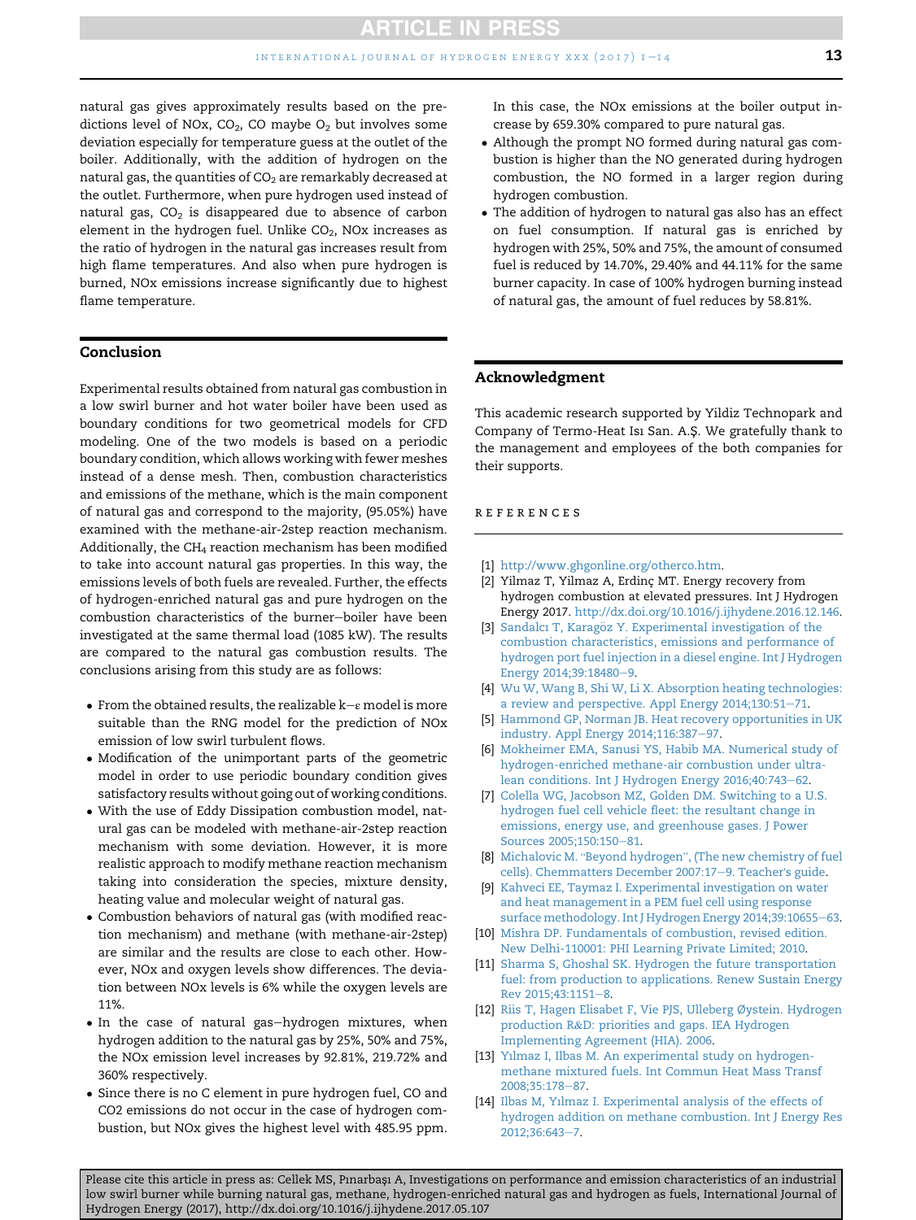<span id="page-13-0"></span>natural gas gives approximately results based on the predictions level of NOx,  $CO<sub>2</sub>$ , CO maybe  $O<sub>2</sub>$  but involves some deviation especially for temperature guess at the outlet of the boiler. Additionally, with the addition of hydrogen on the natural gas, the quantities of  $CO<sub>2</sub>$  are remarkably decreased at the outlet. Furthermore, when pure hydrogen used instead of natural gas,  $CO<sub>2</sub>$  is disappeared due to absence of carbon element in the hydrogen fuel. Unlike  $CO<sub>2</sub>$ , NOx increases as the ratio of hydrogen in the natural gas increases result from high flame temperatures. And also when pure hydrogen is burned, NOx emissions increase significantly due to highest flame temperature.

# Conclusion

Experimental results obtained from natural gas combustion in a low swirl burner and hot water boiler have been used as boundary conditions for two geometrical models for CFD modeling. One of the two models is based on a periodic boundary condition, which allows working with fewer meshes instead of a dense mesh. Then, combustion characteristics and emissions of the methane, which is the main component of natural gas and correspond to the majority, (95.05%) have examined with the methane-air-2step reaction mechanism. Additionally, the  $CH_4$  reaction mechanism has been modified to take into account natural gas properties. In this way, the emissions levels of both fuels are revealed. Further, the effects of hydrogen-enriched natural gas and pure hydrogen on the combustion characteristics of the burner-boiler have been investigated at the same thermal load (1085 kW). The results are compared to the natural gas combustion results. The conclusions arising from this study are as follows:

- From the obtained results, the realizable  $k-e$  model is more suitable than the RNG model for the prediction of NOx emission of low swirl turbulent flows.
- Modification of the unimportant parts of the geometric model in order to use periodic boundary condition gives satisfactory results without going out of working conditions.
- With the use of Eddy Dissipation combustion model, natural gas can be modeled with methane-air-2step reaction mechanism with some deviation. However, it is more realistic approach to modify methane reaction mechanism taking into consideration the species, mixture density, heating value and molecular weight of natural gas.
- Combustion behaviors of natural gas (with modified reaction mechanism) and methane (with methane-air-2step) are similar and the results are close to each other. However, NOx and oxygen levels show differences. The deviation between NOx levels is 6% while the oxygen levels are 11%.
- In the case of natural gas-hydrogen mixtures, when hydrogen addition to the natural gas by 25%, 50% and 75%, the NOx emission level increases by 92.81%, 219.72% and 360% respectively.
- Since there is no C element in pure hydrogen fuel, CO and CO2 emissions do not occur in the case of hydrogen combustion, but NOx gives the highest level with 485.95 ppm.

In this case, the NOx emissions at the boiler output increase by 659.30% compared to pure natural gas.

- Although the prompt NO formed during natural gas combustion is higher than the NO generated during hydrogen combustion, the NO formed in a larger region during hydrogen combustion.
- The addition of hydrogen to natural gas also has an effect on fuel consumption. If natural gas is enriched by hydrogen with 25%, 50% and 75%, the amount of consumed fuel is reduced by 14.70%, 29.40% and 44.11% for the same burner capacity. In case of 100% hydrogen burning instead of natural gas, the amount of fuel reduces by 58.81%.

# Acknowledgment

This academic research supported by Yildiz Technopark and Company of Termo-Heat Isi San. A.Ş. We gratefully thank to the management and employees of the both companies for their supports.

#### references

- [1] <http://www.ghgonline.org/otherco.htm>.
- [2] Yilmaz T, Yilmaz A, Erdinç MT. Energy recovery from hydrogen combustion at elevated pressures. Int J Hydrogen Energy 2017. [http://dx.doi.org/10.1016/j.ijhydene.2016.12.146.](http://dx.doi.org/10.1016/j.ijhydene.2016.12.146)
- [3] [Sandalcı T, Karag](http://refhub.elsevier.com/S0360-3199(17)31979-1/sref3)ö[z Y. Experimental investigation of the](http://refhub.elsevier.com/S0360-3199(17)31979-1/sref3) [combustion characteristics, emissions and performance of](http://refhub.elsevier.com/S0360-3199(17)31979-1/sref3) [hydrogen port fuel injection in a diesel engine. Int J Hydrogen](http://refhub.elsevier.com/S0360-3199(17)31979-1/sref3) [Energy 2014;39:18480](http://refhub.elsevier.com/S0360-3199(17)31979-1/sref3)-[9.](http://refhub.elsevier.com/S0360-3199(17)31979-1/sref3)
- [4] [Wu W, Wang B, Shi W, Li X. Absorption heating technologies:](http://refhub.elsevier.com/S0360-3199(17)31979-1/sref4) [a review and perspective. Appl Energy 2014;130:51](http://refhub.elsevier.com/S0360-3199(17)31979-1/sref4)-[71](http://refhub.elsevier.com/S0360-3199(17)31979-1/sref4).
- [5] [Hammond GP, Norman JB. Heat recovery opportunities in UK](http://refhub.elsevier.com/S0360-3199(17)31979-1/sref5) [industry. Appl Energy 2014;116:387](http://refhub.elsevier.com/S0360-3199(17)31979-1/sref5)-[97.](http://refhub.elsevier.com/S0360-3199(17)31979-1/sref5)
- [6] [Mokheimer EMA, Sanusi YS, Habib MA. Numerical study of](http://refhub.elsevier.com/S0360-3199(17)31979-1/sref6) [hydrogen-enriched methane-air combustion under ultra](http://refhub.elsevier.com/S0360-3199(17)31979-1/sref6)[lean conditions. Int J Hydrogen Energy 2016;40:743](http://refhub.elsevier.com/S0360-3199(17)31979-1/sref6)-[62.](http://refhub.elsevier.com/S0360-3199(17)31979-1/sref6)
- [7] [Colella WG, Jacobson MZ, Golden DM. Switching to a U.S.](http://refhub.elsevier.com/S0360-3199(17)31979-1/sref7) [hydrogen fuel cell vehicle fleet: the resultant change in](http://refhub.elsevier.com/S0360-3199(17)31979-1/sref7) [emissions, energy use, and greenhouse gases. J Power](http://refhub.elsevier.com/S0360-3199(17)31979-1/sref7) [Sources 2005;150:150](http://refhub.elsevier.com/S0360-3199(17)31979-1/sref7)-[81](http://refhub.elsevier.com/S0360-3199(17)31979-1/sref7).
- [8] Michalovic M. "Beyond hydrogen"[, \(The new chemistry of fuel](http://refhub.elsevier.com/S0360-3199(17)31979-1/sref8) [cells\). Chemmatters December 2007:17](http://refhub.elsevier.com/S0360-3199(17)31979-1/sref8)-[9. Teacher](http://refhub.elsevier.com/S0360-3199(17)31979-1/sref8)'s guide.
- [9] [Kahveci EE, Taymaz I. Experimental investigation on water](http://refhub.elsevier.com/S0360-3199(17)31979-1/sref9) [and heat management in a PEM fuel cell using response](http://refhub.elsevier.com/S0360-3199(17)31979-1/sref9) [surface methodology. Int J Hydrogen Energy 2014;39:10655](http://refhub.elsevier.com/S0360-3199(17)31979-1/sref9)-[63.](http://refhub.elsevier.com/S0360-3199(17)31979-1/sref9)
- [10] [Mishra DP. Fundamentals of combustion, revised edition.](http://refhub.elsevier.com/S0360-3199(17)31979-1/sref10) [New Delhi-110001: PHI Learning Private Limited; 2010.](http://refhub.elsevier.com/S0360-3199(17)31979-1/sref10)
- [11] [Sharma S, Ghoshal SK. Hydrogen the future transportation](http://refhub.elsevier.com/S0360-3199(17)31979-1/sref11) [fuel: from production to applications. Renew Sustain Energy](http://refhub.elsevier.com/S0360-3199(17)31979-1/sref11) [Rev 2015;43:1151](http://refhub.elsevier.com/S0360-3199(17)31979-1/sref11)-[8.](http://refhub.elsevier.com/S0360-3199(17)31979-1/sref11)
- [12] [Riis T, Hagen Elisabet F, Vie PJS, Ulleberg Øystein. Hydrogen](http://refhub.elsevier.com/S0360-3199(17)31979-1/sref12) [production R](http://refhub.elsevier.com/S0360-3199(17)31979-1/sref12)&[D: priorities and gaps. IEA Hydrogen](http://refhub.elsevier.com/S0360-3199(17)31979-1/sref12) [Implementing Agreement \(HIA\). 2006](http://refhub.elsevier.com/S0360-3199(17)31979-1/sref12).
- [13] [Y](http://refhub.elsevier.com/S0360-3199(17)31979-1/sref13)ı[lmaz I, Ilbas M. An experimental study on hydrogen](http://refhub.elsevier.com/S0360-3199(17)31979-1/sref13)[methane mixtured fuels. Int Commun Heat Mass Transf](http://refhub.elsevier.com/S0360-3199(17)31979-1/sref13) 2008:35:178-[87](http://refhub.elsevier.com/S0360-3199(17)31979-1/sref13).
- [14] [Ilbas M, Y](http://refhub.elsevier.com/S0360-3199(17)31979-1/sref14)ı[lmaz I. Experimental analysis of the effects of](http://refhub.elsevier.com/S0360-3199(17)31979-1/sref14) [hydrogen addition on methane combustion. Int J Energy Res](http://refhub.elsevier.com/S0360-3199(17)31979-1/sref14) [2012;36:643](http://refhub.elsevier.com/S0360-3199(17)31979-1/sref14)-[7.](http://refhub.elsevier.com/S0360-3199(17)31979-1/sref14)